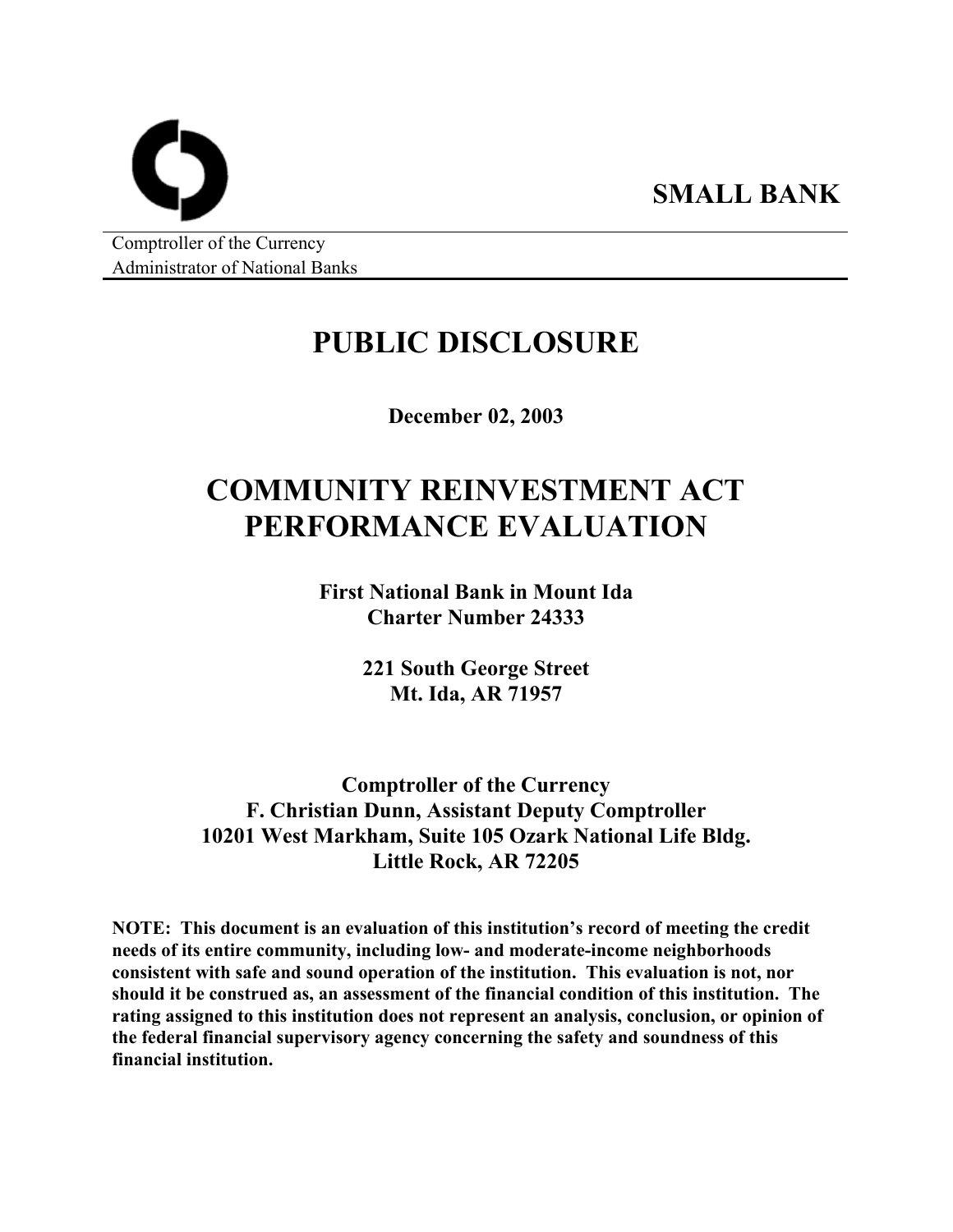Comptroller of the Currency Administrator of National Banks

## **PUBLIC DISCLOSURE**

**SMALL BANK** 

**December 02, 2003** 

# **COMMUNITY REINVESTMENT ACT PERFORMANCE EVALUATION**

**First National Bank in Mount Ida Charter Number 24333** 

> **221 South George Street Mt. Ida, AR 71957**

**Comptroller of the Currency F. Christian Dunn, Assistant Deputy Comptroller 10201 West Markham, Suite 105 Ozark National Life Bldg. Little Rock, AR 72205** 

**NOTE: This document is an evaluation of this institution's record of meeting the credit needs of its entire community, including low- and moderate-income neighborhoods consistent with safe and sound operation of the institution. This evaluation is not, nor should it be construed as, an assessment of the financial condition of this institution. The rating assigned to this institution does not represent an analysis, conclusion, or opinion of the federal financial supervisory agency concerning the safety and soundness of this financial institution.**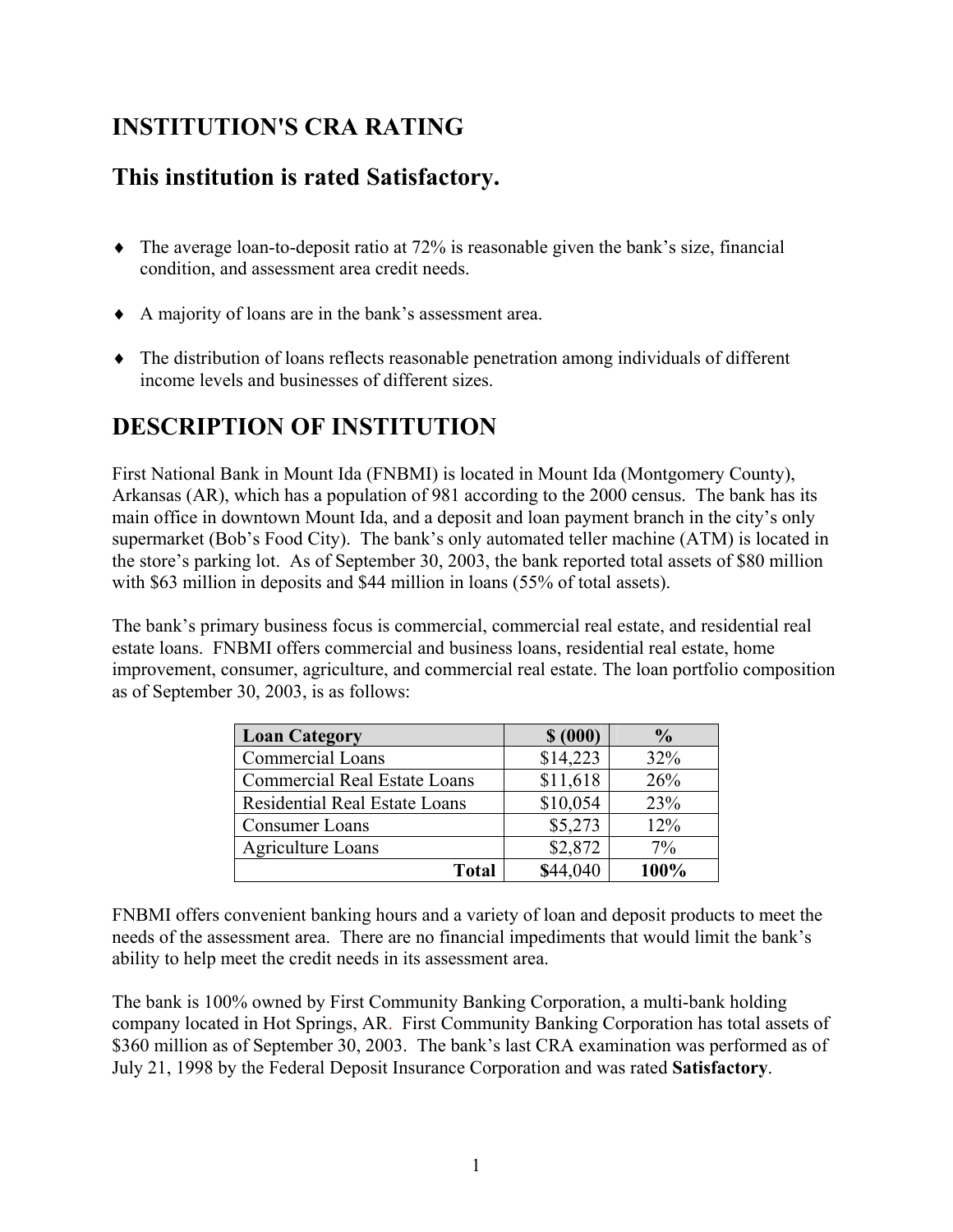### **INSTITUTION'S CRA RATING**

### **This institution is rated Satisfactory.**

- ♦ The average loan-to-deposit ratio at 72% is reasonable given the bank's size, financial condition, and assessment area credit needs.
- ♦ A majority of loans are in the bank's assessment area.
- ♦ The distribution of loans reflects reasonable penetration among individuals of different income levels and businesses of different sizes.

### **DESCRIPTION OF INSTITUTION**

First National Bank in Mount Ida (FNBMI) is located in Mount Ida (Montgomery County), Arkansas (AR), which has a population of 981 according to the 2000 census. The bank has its main office in downtown Mount Ida, and a deposit and loan payment branch in the city's only supermarket (Bob's Food City). The bank's only automated teller machine (ATM) is located in the store's parking lot. As of September 30, 2003, the bank reported total assets of \$80 million with \$63 million in deposits and \$44 million in loans (55% of total assets).

The bank's primary business focus is commercial, commercial real estate, and residential real estate loans. FNBMI offers commercial and business loans, residential real estate, home improvement, consumer, agriculture, and commercial real estate. The loan portfolio composition as of September 30, 2003, is as follows:

| <b>Loan Category</b>                 | \$ (000) | $\frac{1}{2}$ |
|--------------------------------------|----------|---------------|
| Commercial Loans                     | \$14,223 | 32%           |
| <b>Commercial Real Estate Loans</b>  | \$11,618 | 26%           |
| <b>Residential Real Estate Loans</b> | \$10,054 | 23%           |
| Consumer Loans                       | \$5,273  | 12%           |
| Agriculture Loans                    | \$2,872  | 7%            |
| <b>Total</b>                         | \$44,040 | 100%          |

FNBMI offers convenient banking hours and a variety of loan and deposit products to meet the needs of the assessment area. There are no financial impediments that would limit the bank's ability to help meet the credit needs in its assessment area.

The bank is 100% owned by First Community Banking Corporation, a multi-bank holding company located in Hot Springs, AR. First Community Banking Corporation has total assets of \$360 million as of September 30, 2003. The bank's last CRA examination was performed as of July 21, 1998 by the Federal Deposit Insurance Corporation and was rated **Satisfactory**.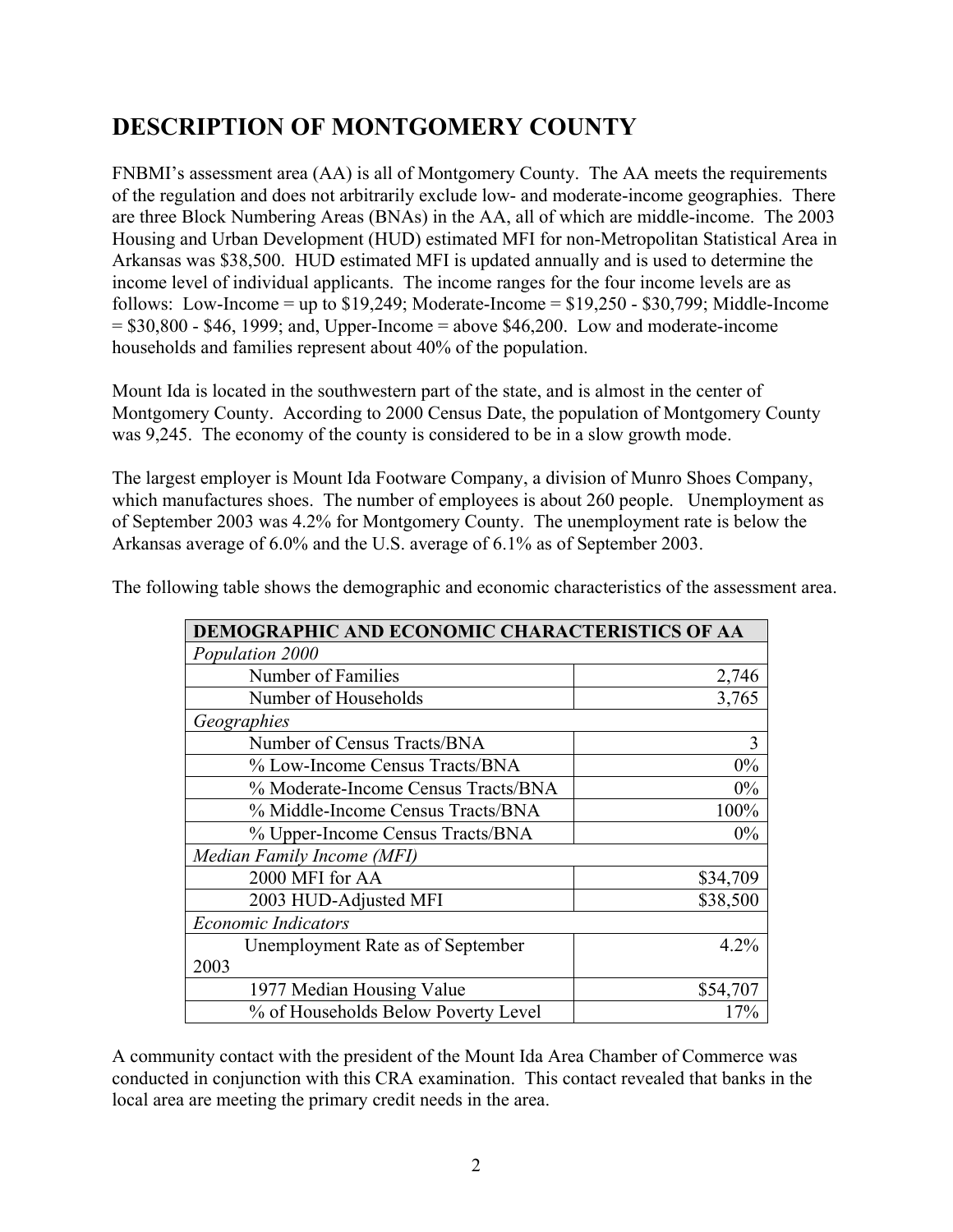### **DESCRIPTION OF MONTGOMERY COUNTY**

FNBMI's assessment area (AA) is all of Montgomery County. The AA meets the requirements of the regulation and does not arbitrarily exclude low- and moderate-income geographies. There are three Block Numbering Areas (BNAs) in the AA, all of which are middle-income. The 2003 Housing and Urban Development (HUD) estimated MFI for non-Metropolitan Statistical Area in Arkansas was \$38,500. HUD estimated MFI is updated annually and is used to determine the income level of individual applicants. The income ranges for the four income levels are as follows: Low-Income = up to  $$19,249$ ; Moderate-Income =  $$19,250 - $30,799$ ; Middle-Income  $= $30,800 - $46, 1999$ ; and, Upper-Income  $=$  above \$46,200. Low and moderate-income households and families represent about 40% of the population.

Mount Ida is located in the southwestern part of the state, and is almost in the center of Montgomery County. According to 2000 Census Date, the population of Montgomery County was 9,245. The economy of the county is considered to be in a slow growth mode.

The largest employer is Mount Ida Footware Company, a division of Munro Shoes Company, which manufactures shoes. The number of employees is about 260 people. Unemployment as of September 2003 was 4.2% for Montgomery County. The unemployment rate is below the Arkansas average of 6.0% and the U.S. average of 6.1% as of September 2003.

| DEMOGRAPHIC AND ECONOMIC CHARACTERISTICS OF AA |          |  |  |  |
|------------------------------------------------|----------|--|--|--|
| Population 2000                                |          |  |  |  |
| Number of Families                             | 2,746    |  |  |  |
| Number of Households                           | 3,765    |  |  |  |
| Geographies                                    |          |  |  |  |
| Number of Census Tracts/BNA                    | 3        |  |  |  |
| % Low-Income Census Tracts/BNA                 | $0\%$    |  |  |  |
| % Moderate-Income Census Tracts/BNA            | $0\%$    |  |  |  |
| % Middle-Income Census Tracts/BNA              | 100%     |  |  |  |
| % Upper-Income Census Tracts/BNA               | $0\%$    |  |  |  |
| Median Family Income (MFI)                     |          |  |  |  |
| 2000 MFI for AA                                | \$34,709 |  |  |  |
| 2003 HUD-Adjusted MFI                          | \$38,500 |  |  |  |
| <b>Economic Indicators</b>                     |          |  |  |  |
| Unemployment Rate as of September              | 4.2%     |  |  |  |
| 2003                                           |          |  |  |  |
| 1977 Median Housing Value                      | \$54,707 |  |  |  |
| % of Households Below Poverty Level            | 17%      |  |  |  |

The following table shows the demographic and economic characteristics of the assessment area.

A community contact with the president of the Mount Ida Area Chamber of Commerce was conducted in conjunction with this CRA examination. This contact revealed that banks in the local area are meeting the primary credit needs in the area.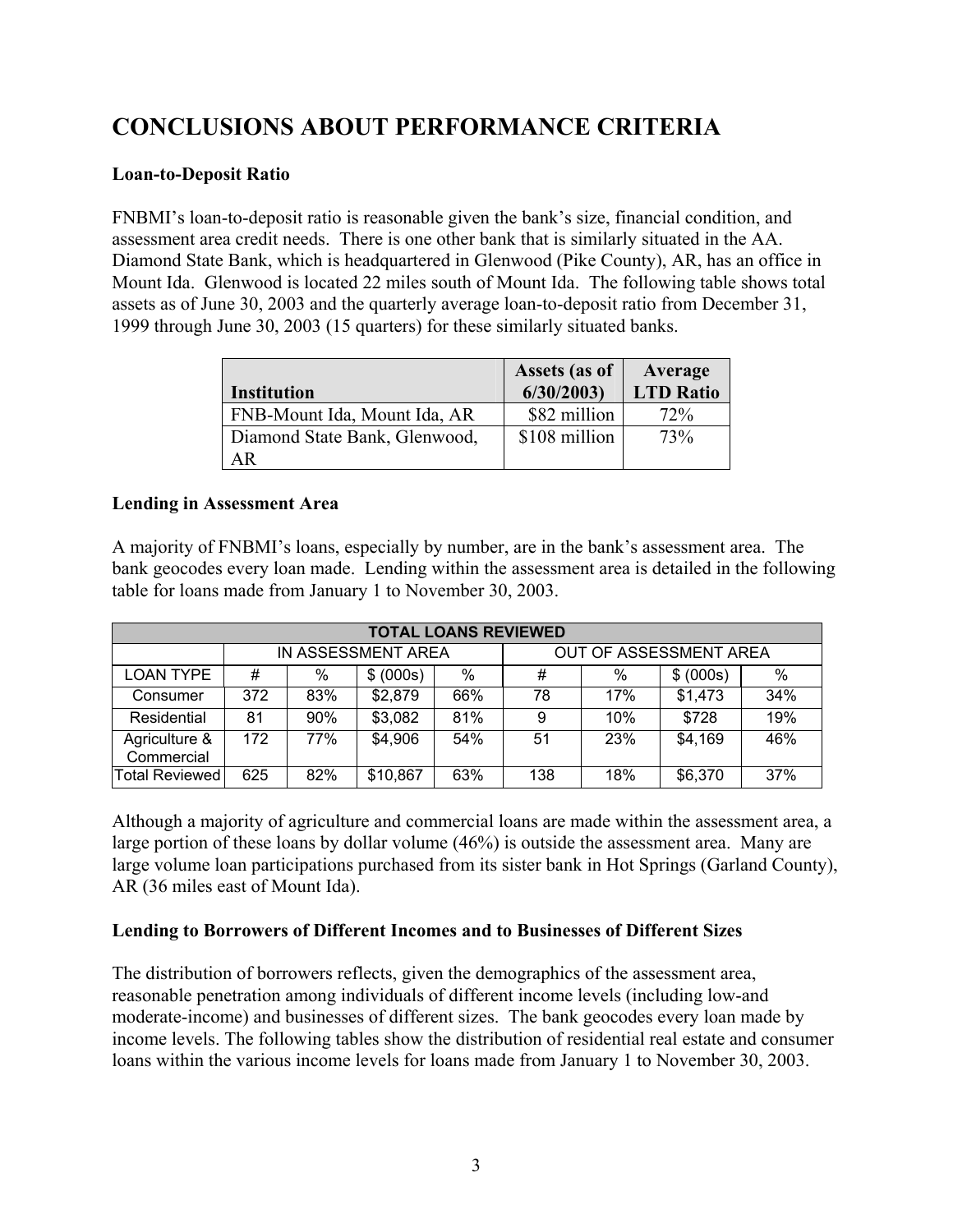### **CONCLUSIONS ABOUT PERFORMANCE CRITERIA**

#### **Loan-to-Deposit Ratio**

FNBMI's loan-to-deposit ratio is reasonable given the bank's size, financial condition, and assessment area credit needs. There is one other bank that is similarly situated in the AA. Diamond State Bank, which is headquartered in Glenwood (Pike County), AR, has an office in Mount Ida. Glenwood is located 22 miles south of Mount Ida. The following table shows total assets as of June 30, 2003 and the quarterly average loan-to-deposit ratio from December 31, 1999 through June 30, 2003 (15 quarters) for these similarly situated banks.

| <b>Institution</b>            | Assets (as of<br>6/30/2003 | Average<br><b>LTD Ratio</b> |
|-------------------------------|----------------------------|-----------------------------|
| FNB-Mount Ida, Mount Ida, AR  | \$82 million               | 72%                         |
| Diamond State Bank, Glenwood, | \$108 million              | 73%                         |
| ΑR                            |                            |                             |

#### **Lending in Assessment Area**

A majority of FNBMI's loans, especially by number, are in the bank's assessment area. The bank geocodes every loan made. Lending within the assessment area is detailed in the following table for loans made from January 1 to November 30, 2003.

| <b>TOTAL LOANS REVIEWED</b> |                    |     |           |                        |     |     |           |      |
|-----------------------------|--------------------|-----|-----------|------------------------|-----|-----|-----------|------|
|                             | IN ASSESSMENT AREA |     |           | OUT OF ASSESSMENT AREA |     |     |           |      |
| <b>LOAN TYPE</b>            | #                  | %   | \$ (000s) | %                      | #   | %   | \$ (000s) | $\%$ |
| Consumer                    | 372                | 83% | \$2,879   | 66%                    | 78  | 17% | \$1,473   | 34%  |
| Residential                 | 81                 | 90% | \$3,082   | 81%                    | 9   | 10% | \$728     | 19%  |
| Agriculture &<br>Commercial | 172                | 77% | \$4,906   | 54%                    | 51  | 23% | \$4,169   | 46%  |
| <b>Total Reviewed</b>       | 625                | 82% | \$10,867  | 63%                    | 138 | 18% | \$6,370   | 37%  |

Although a majority of agriculture and commercial loans are made within the assessment area, a large portion of these loans by dollar volume (46%) is outside the assessment area. Many are large volume loan participations purchased from its sister bank in Hot Springs (Garland County), AR (36 miles east of Mount Ida).

#### **Lending to Borrowers of Different Incomes and to Businesses of Different Sizes**

The distribution of borrowers reflects, given the demographics of the assessment area, reasonable penetration among individuals of different income levels (including low-and moderate-income) and businesses of different sizes. The bank geocodes every loan made by income levels. The following tables show the distribution of residential real estate and consumer loans within the various income levels for loans made from January 1 to November 30, 2003.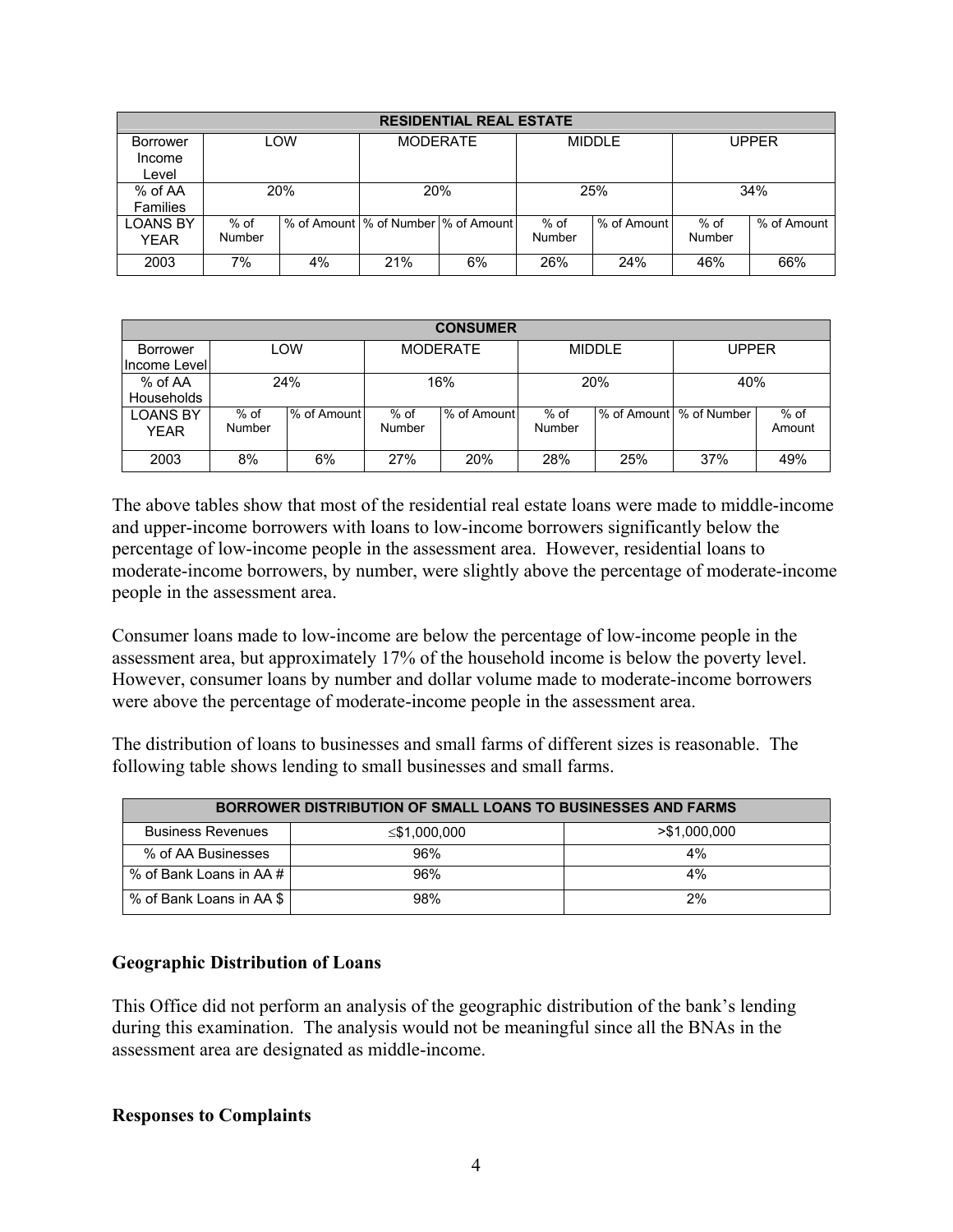| <b>RESIDENTIAL REAL ESTATE</b>     |                  |            |                                       |    |                  |             |                         |             |
|------------------------------------|------------------|------------|---------------------------------------|----|------------------|-------------|-------------------------|-------------|
| <b>Borrower</b><br>Income<br>Level |                  | LOW        | <b>MODERATE</b>                       |    | MIDDI F          |             | UPPFR                   |             |
| % of AA<br>Families                |                  | <b>20%</b> | <b>20%</b>                            |    | 25%              |             | 34%                     |             |
| <b>LOANS BY</b><br>YEAR            | $%$ of<br>Number |            | % of Amount  % of Number  % of Amount |    | $%$ of<br>Number | % of Amount | $%$ of<br><b>Number</b> | % of Amount |
| 2003                               | 7%               | 4%         | 21%                                   | 6% | 26%              | 24%         | 46%                     | 66%         |

| <b>CONSUMER</b>   |            |             |                 |             |               |     |                            |        |
|-------------------|------------|-------------|-----------------|-------------|---------------|-----|----------------------------|--------|
| Borrower          | <b>LOW</b> |             | <b>MODERATE</b> |             | <b>MIDDLE</b> |     | UPPER                      |        |
| Income Levell     |            |             |                 |             |               |     |                            |        |
| % of AA           | 24%        |             | 16%             |             | 20%           |     | 40%                        |        |
| <b>Households</b> |            |             |                 |             |               |     |                            |        |
| <b>LOANS BY</b>   | $%$ of     | % of Amount | $%$ of          | % of Amount | $%$ of        |     | Ⅰ% of Amount Ⅰ % of Number | $%$ of |
| <b>YEAR</b>       | Number     |             | Number          |             | Number        |     |                            | Amount |
| 2003              | 8%         | 6%          | 27%             | 20%         | 28%           | 25% | 37%                        | 49%    |

The above tables show that most of the residential real estate loans were made to middle-income and upper-income borrowers with loans to low-income borrowers significantly below the percentage of low-income people in the assessment area. However, residential loans to moderate-income borrowers, by number, were slightly above the percentage of moderate-income people in the assessment area.

Consumer loans made to low-income are below the percentage of low-income people in the assessment area, but approximately 17% of the household income is below the poverty level. However, consumer loans by number and dollar volume made to moderate-income borrowers were above the percentage of moderate-income people in the assessment area.

The distribution of loans to businesses and small farms of different sizes is reasonable. The following table shows lending to small businesses and small farms.

| <b>BORROWER DISTRIBUTION OF SMALL LOANS TO BUSINESSES AND FARMS</b> |                    |               |  |  |  |  |
|---------------------------------------------------------------------|--------------------|---------------|--|--|--|--|
| <b>Business Revenues</b>                                            | $\leq$ \$1,000,000 | > \$1.000.000 |  |  |  |  |
| % of AA Businesses                                                  | 96%                | 4%            |  |  |  |  |
| % of Bank Loans in AA#                                              | 96%                | 4%            |  |  |  |  |
| % of Bank Loans in AA \$                                            | 98%                | 2%            |  |  |  |  |

#### **Geographic Distribution of Loans**

This Office did not perform an analysis of the geographic distribution of the bank's lending during this examination. The analysis would not be meaningful since all the BNAs in the assessment area are designated as middle-income.

#### **Responses to Complaints**